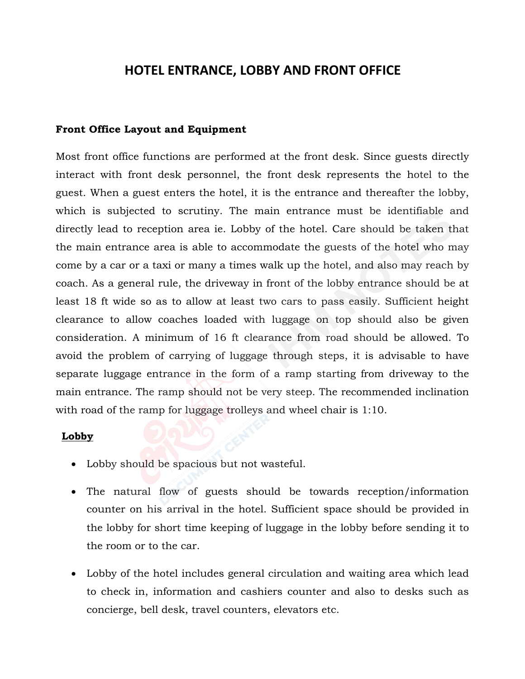# **HOTEL ENTRANCE, LOBBY AND FRONT OFFICE**

#### **Front Office Layout and Equipment**

Most front office functions are performed at the front desk. Since guests directly interact with front desk personnel, the front desk represents the hotel to the guest. When a guest enters the hotel, it is the entrance and thereafter the lobby, which is subjected to scrutiny. The main entrance must be identifiable and directly lead to reception area ie. Lobby of the hotel. Care should be taken that the main entrance area is able to accommodate the guests of the hotel who may come by a car or a taxi or many a times walk up the hotel, and also may reach by coach. As a general rule, the driveway in front of the lobby entrance should be at least 18 ft wide so as to allow at least two cars to pass easily. Sufficient height clearance to allow coaches loaded with luggage on top should also be given consideration. A minimum of 16 ft clearance from road should be allowed. To avoid the problem of carrying of luggage through steps, it is advisable to have separate luggage entrance in the form of a ramp starting from driveway to the main entrance. The ramp should not be very steep. The recommended inclination with road of the ramp for luggage trolleys and wheel chair is 1:10.

#### **Lobby**

- Lobby should be spacious but not wasteful.
- The natural flow of guests should be towards reception/information counter on his arrival in the hotel. Sufficient space should be provided in the lobby for short time keeping of luggage in the lobby before sending it to the room or to the car.
- Lobby of the hotel includes general circulation and waiting area which lead to check in, information and cashiers counter and also to desks such as concierge, bell desk, travel counters, elevators etc.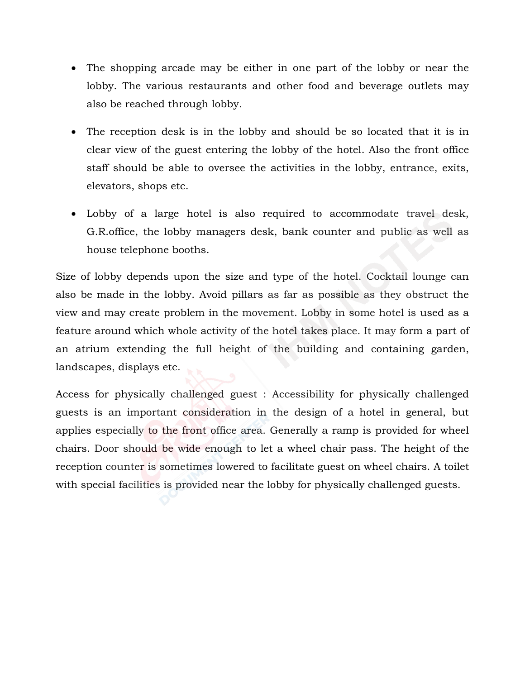- The shopping arcade may be either in one part of the lobby or near the lobby. The various restaurants and other food and beverage outlets may also be reached through lobby.
- The reception desk is in the lobby and should be so located that it is in clear view of the guest entering the lobby of the hotel. Also the front office staff should be able to oversee the activities in the lobby, entrance, exits, elevators, shops etc.
- Lobby of a large hotel is also required to accommodate travel desk, G.R.office, the lobby managers desk, bank counter and public as well as house telephone booths.

Size of lobby depends upon the size and type of the hotel. Cocktail lounge can also be made in the lobby. Avoid pillars as far as possible as they obstruct the view and may create problem in the movement. Lobby in some hotel is used as a feature around which whole activity of the hotel takes place. It may form a part of an atrium extending the full height of the building and containing garden, landscapes, displays etc.

Access for physically challenged guest : Accessibility for physically challenged guests is an important consideration in the design of a hotel in general, but applies especially to the front office area. Generally a ramp is provided for wheel chairs. Door should be wide enough to let a wheel chair pass. The height of the reception counter is sometimes lowered to facilitate guest on wheel chairs. A toilet with special facilities is provided near the lobby for physically challenged guests.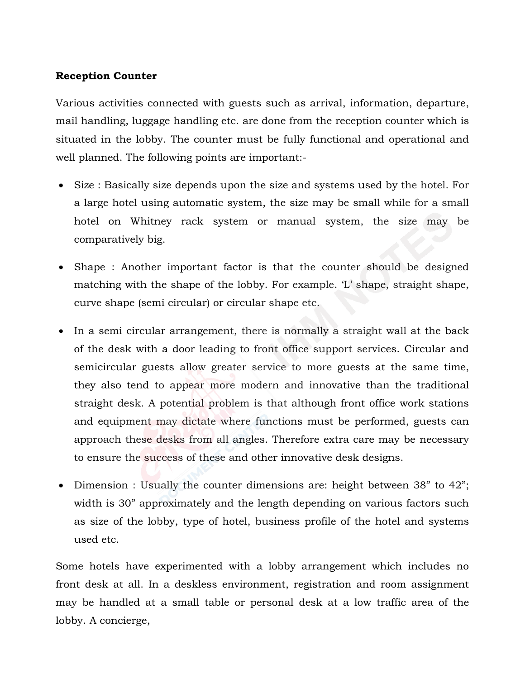### **Reception Counter**

Various activities connected with guests such as arrival, information, departure, mail handling, luggage handling etc. are done from the reception counter which is situated in the lobby. The counter must be fully functional and operational and well planned. The following points are important:-

- Size : Basically size depends upon the size and systems used by the hotel. For a large hotel using automatic system, the size may be small while for a small hotel on Whitney rack system or manual system, the size may be comparatively big.
- Shape : Another important factor is that the counter should be designed matching with the shape of the lobby. For example. 'L' shape, straight shape, curve shape (semi circular) or circular shape etc.
- In a semi circular arrangement, there is normally a straight wall at the back of the desk with a door leading to front office support services. Circular and semicircular guests allow greater service to more guests at the same time, they also tend to appear more modern and innovative than the traditional straight desk. A potential problem is that although front office work stations and equipment may dictate where functions must be performed, guests can approach these desks from all angles. Therefore extra care may be necessary to ensure the success of these and other innovative desk designs.
- Dimension : Usually the counter dimensions are: height between 38" to 42"; width is 30" approximately and the length depending on various factors such as size of the lobby, type of hotel, business profile of the hotel and systems used etc.

Some hotels have experimented with a lobby arrangement which includes no front desk at all. In a deskless environment, registration and room assignment may be handled at a small table or personal desk at a low traffic area of the lobby. A concierge,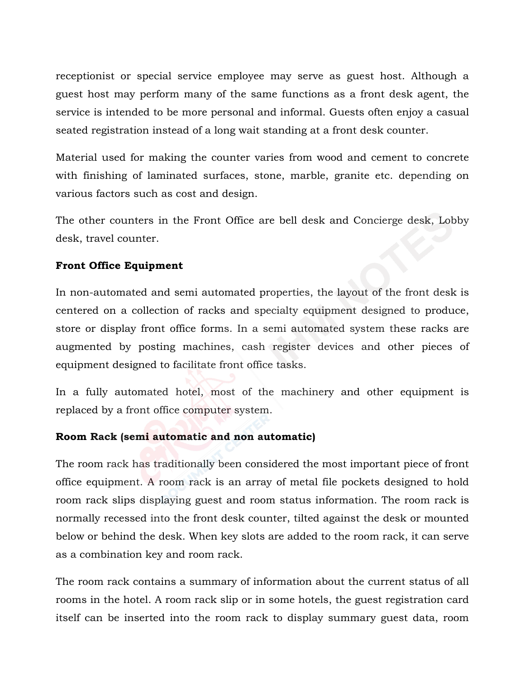receptionist or special service employee may serve as guest host. Although a guest host may perform many of the same functions as a front desk agent, the service is intended to be more personal and informal. Guests often enjoy a casual seated registration instead of a long wait standing at a front desk counter.

Material used for making the counter varies from wood and cement to concrete with finishing of laminated surfaces, stone, marble, granite etc. depending on various factors such as cost and design.

The other counters in the Front Office are bell desk and Concierge desk, Lobby desk, travel counter.

# **Front Office Equipment**

In non-automated and semi automated properties, the layout of the front desk is centered on a collection of racks and specialty equipment designed to produce, store or display front office forms. In a semi automated system these racks are augmented by posting machines, cash register devices and other pieces of equipment designed to facilitate front office tasks.

In a fully automated hotel, most of the machinery and other equipment is replaced by a front office computer system.

### **Room Rack (semi automatic and non automatic)**

The room rack has traditionally been considered the most important piece of front office equipment. A room rack is an array of metal file pockets designed to hold room rack slips displaying guest and room status information. The room rack is normally recessed into the front desk counter, tilted against the desk or mounted below or behind the desk. When key slots are added to the room rack, it can serve as a combination key and room rack.

The room rack contains a summary of information about the current status of all rooms in the hotel. A room rack slip or in some hotels, the guest registration card itself can be inserted into the room rack to display summary guest data, room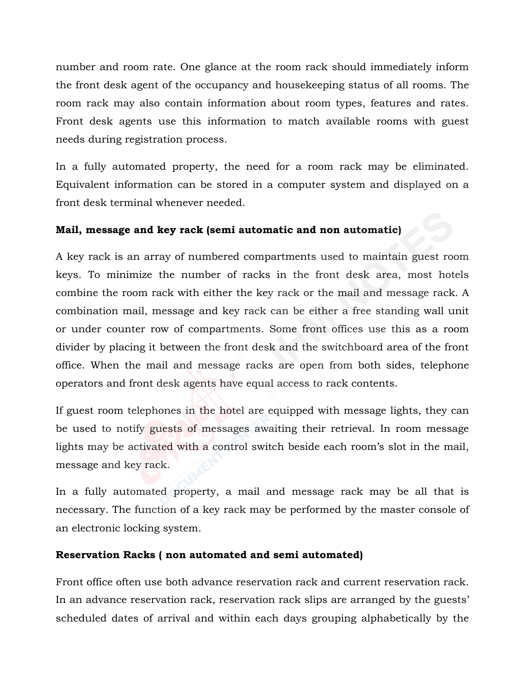number and room rate. One glance at the room rack should immediately inform the front desk agent of the occupancy and housekeeping status of all rooms. The room rack may also contain information about room types, features and rates. Front desk agents use this information to match available rooms with guest needs during registration process.

In a fully automated property, the need for a room rack may be eliminated. Equivalent information can be stored in a computer system and displayed on a front desk terminal whenever needed.

# **Mail, message and key rack (semi automatic and non automatic)**

A key rack is an array of numbered compartments used to maintain guest room keys. To minimize the number of racks in the front desk area, most hotels combine the room rack with either the key rack or the mail and message rack. A combination mail, message and key rack can be either a free standing wall unit or under counter row of compartments. Some front offices use this as a room divider by placing it between the front desk and the switchboard area of the front office. When the mail and message racks are open from both sides, telephone operators and front desk agents have equal access to rack contents.

If guest room telephones in the hotel are equipped with message lights, they can be used to notify guests of messages awaiting their retrieval. In room message lights may be activated with a control switch beside each room's slot in the mail, message and key rack.

In a fully automated property, a mail and message rack may be all that is necessary. The function of a key rack may be performed by the master console of an electronic locking system.

# **Reservation Racks ( non automated and semi automated)**

Front office often use both advance reservation rack and current reservation rack. In an advance reservation rack, reservation rack slips are arranged by the guests' scheduled dates of arrival and within each days grouping alphabetically by the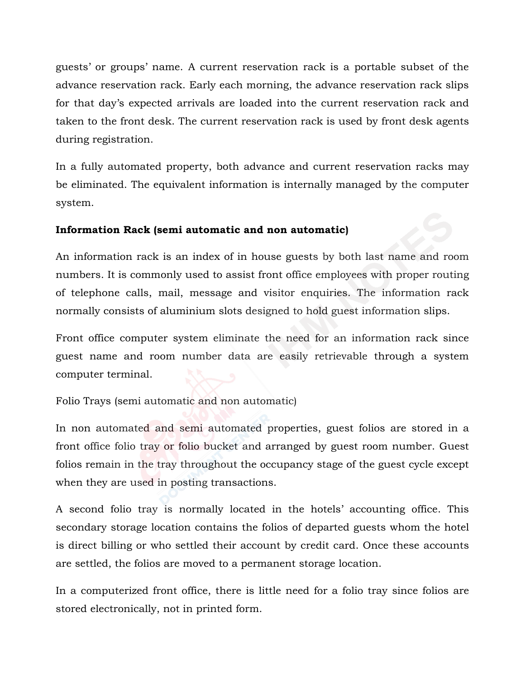guests' or groups' name. A current reservation rack is a portable subset of the advance reservation rack. Early each morning, the advance reservation rack slips for that day's expected arrivals are loaded into the current reservation rack and taken to the front desk. The current reservation rack is used by front desk agents during registration.

In a fully automated property, both advance and current reservation racks may be eliminated. The equivalent information is internally managed by the computer system.

# **Information Rack (semi automatic and non automatic)**

An information rack is an index of in house guests by both last name and room numbers. It is commonly used to assist front office employees with proper routing of telephone calls, mail, message and visitor enquiries. The information rack normally consists of aluminium slots designed to hold guest information slips.

Front office computer system eliminate the need for an information rack since guest name and room number data are easily retrievable through a system computer terminal.

Folio Trays (semi automatic and non automatic)

In non automated and semi automated properties, guest folios are stored in a front office folio tray or folio bucket and arranged by guest room number. Guest folios remain in the tray throughout the occupancy stage of the guest cycle except when they are used in posting transactions.

A second folio tray is normally located in the hotels' accounting office. This secondary storage location contains the folios of departed guests whom the hotel is direct billing or who settled their account by credit card. Once these accounts are settled, the folios are moved to a permanent storage location.

In a computerized front office, there is little need for a folio tray since folios are stored electronically, not in printed form.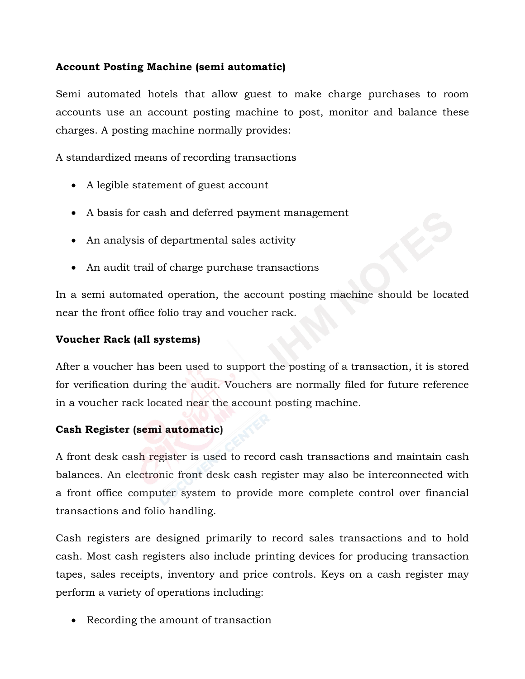# **Account Posting Machine (semi automatic)**

Semi automated hotels that allow guest to make charge purchases to room accounts use an account posting machine to post, monitor and balance these charges. A posting machine normally provides:

A standardized means of recording transactions

- A legible statement of guest account
- A basis for cash and deferred payment management
- An analysis of departmental sales activity
- An audit trail of charge purchase transactions

In a semi automated operation, the account posting machine should be located near the front office folio tray and voucher rack.

### **Voucher Rack (all systems)**

After a voucher has been used to support the posting of a transaction, it is stored for verification during the audit. Vouchers are normally filed for future reference in a voucher rack located near the account posting machine.

### **Cash Register (semi automatic)**

A front desk cash register is used to record cash transactions and maintain cash balances. An electronic front desk cash register may also be interconnected with a front office computer system to provide more complete control over financial transactions and folio handling.

Cash registers are designed primarily to record sales transactions and to hold cash. Most cash registers also include printing devices for producing transaction tapes, sales receipts, inventory and price controls. Keys on a cash register may perform a variety of operations including:

• Recording the amount of transaction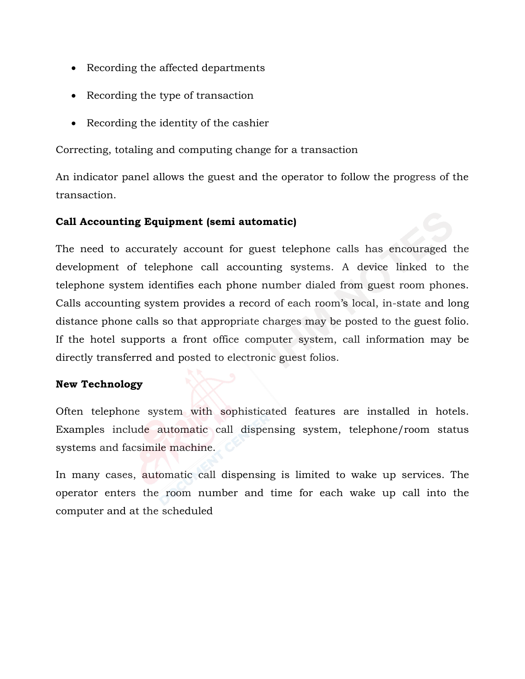- Recording the affected departments
- Recording the type of transaction
- Recording the identity of the cashier

Correcting, totaling and computing change for a transaction

An indicator panel allows the guest and the operator to follow the progress of the transaction.

# **Call Accounting Equipment (semi automatic)**

The need to accurately account for guest telephone calls has encouraged the development of telephone call accounting systems. A device linked to the telephone system identifies each phone number dialed from guest room phones. Calls accounting system provides a record of each room's local, in-state and long distance phone calls so that appropriate charges may be posted to the guest folio. If the hotel supports a front office computer system, call information may be directly transferred and posted to electronic guest folios.

### **New Technology**

Often telephone system with sophisticated features are installed in hotels. Examples include automatic call dispensing system, telephone/room status systems and facsimile machine.

In many cases, automatic call dispensing is limited to wake up services. The operator enters the room number and time for each wake up call into the computer and at the scheduled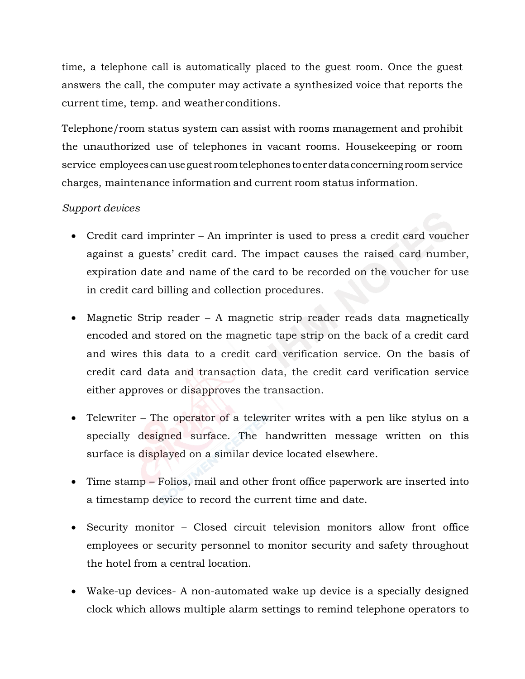time, a telephone call is automatically placed to the guest room. Once the guest answers the call, the computer may activate a synthesized voice that reports the current time, temp. and weatherconditions.

Telephone/room status system can assist with rooms management and prohibit the unauthorized use of telephones in vacant rooms. Housekeeping or room service employees canuse guest roomtelephones to enterdataconcerning roomservice charges, maintenance information and current room status information.

# *Support devices*

- Credit card imprinter An imprinter is used to press a credit card voucher against a guests' credit card. The impact causes the raised card number, expiration date and name of the card to be recorded on the voucher for use in credit card billing and collection procedures.
- Magnetic Strip reader A magnetic strip reader reads data magnetically encoded and stored on the magnetic tape strip on the back of a credit card and wires this data to a credit card verification service. On the basis of credit card data and transaction data, the credit card verification service either approves or disapproves the transaction.
- Telewriter The operator of a telewriter writes with a pen like stylus on a specially designed surface. The handwritten message written on this surface is displayed on a similar device located elsewhere.
- Time stamp Folios, mail and other front office paperwork are inserted into a timestamp device to record the current time and date.
- Security monitor Closed circuit television monitors allow front office employees or security personnel to monitor security and safety throughout the hotel from a central location.
- Wake-up devices- A non-automated wake up device is a specially designed clock which allows multiple alarm settings to remind telephone operators to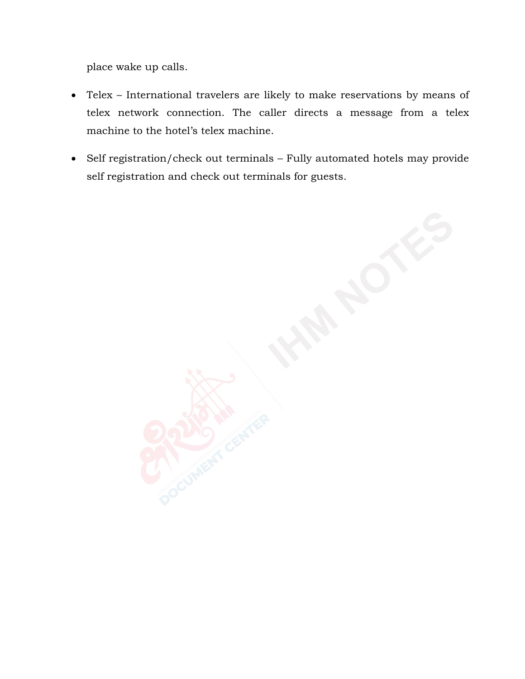place wake up calls.

- Telex International travelers are likely to make reservations by means of telex network connection. The caller directs a message from a telex machine to the hotel's telex machine.
- Self registration/check out terminals Fully automated hotels may provide self registration and check out terminals for guests.

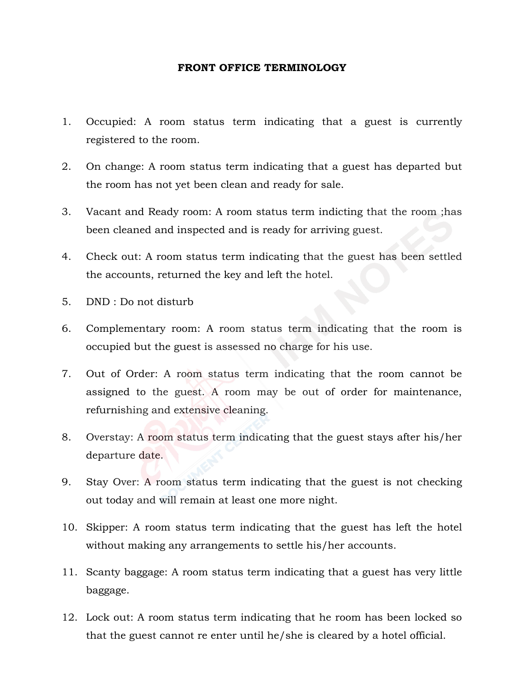#### **FRONT OFFICE TERMINOLOGY**

- 1. Occupied: A room status term indicating that a guest is currently registered to the room.
- 2. On change: A room status term indicating that a guest has departed but the room has not yet been clean and ready for sale.
- 3. Vacant and Ready room: A room status term indicting that the room ;has been cleaned and inspected and is ready for arriving guest.
- 4. Check out: A room status term indicating that the guest has been settled the accounts, returned the key and left the hotel.
- 5. DND : Do not disturb
- 6. Complementary room: A room status term indicating that the room is occupied but the guest is assessed no charge for his use.
- 7. Out of Order: A room status term indicating that the room cannot be assigned to the guest. A room may be out of order for maintenance, refurnishing and extensive cleaning.
- 8. Overstay: A room status term indicating that the guest stays after his/her departure date.
- 9. Stay Over: A room status term indicating that the guest is not checking out today and will remain at least one more night.
- 10. Skipper: A room status term indicating that the guest has left the hotel without making any arrangements to settle his/her accounts.
- 11. Scanty baggage: A room status term indicating that a guest has very little baggage.
- 12. Lock out: A room status term indicating that he room has been locked so that the guest cannot re enter until he/she is cleared by a hotel official.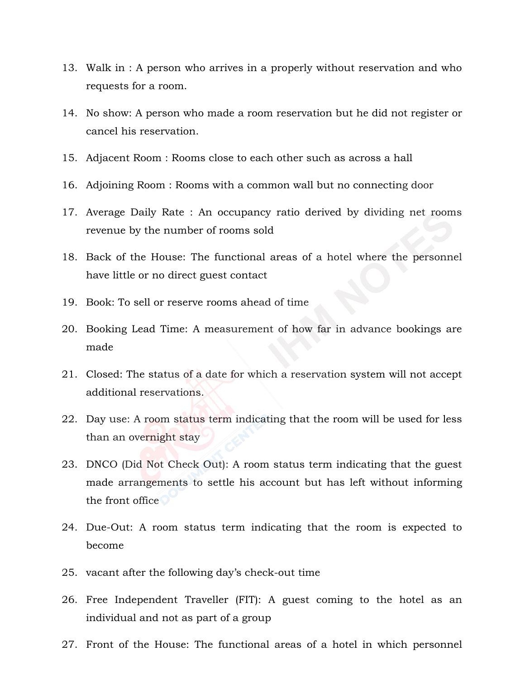- 13. Walk in : A person who arrives in a properly without reservation and who requests for a room.
- 14. No show: A person who made a room reservation but he did not register or cancel his reservation.
- 15. Adjacent Room : Rooms close to each other such as across a hall
- 16. Adjoining Room : Rooms with a common wall but no connecting door
- 17. Average Daily Rate : An occupancy ratio derived by dividing net rooms revenue by the number of rooms sold
- 18. Back of the House: The functional areas of a hotel where the personnel have little or no direct guest contact
- 19. Book: To sell or reserve rooms ahead of time
- 20. Booking Lead Time: A measurement of how far in advance bookings are made
- 21. Closed: The status of a date for which a reservation system will not accept additional reservations.
- 22. Day use: A room status term indicating that the room will be used for less than an overnight stay
- 23. DNCO (Did Not Check Out): A room status term indicating that the guest made arrangements to settle his account but has left without informing the front office
- 24. Due-Out: A room status term indicating that the room is expected to become
- 25. vacant after the following day's check-out time
- 26. Free Independent Traveller (FIT): A guest coming to the hotel as an individual and not as part of a group
- 27. Front of the House: The functional areas of a hotel in which personnel